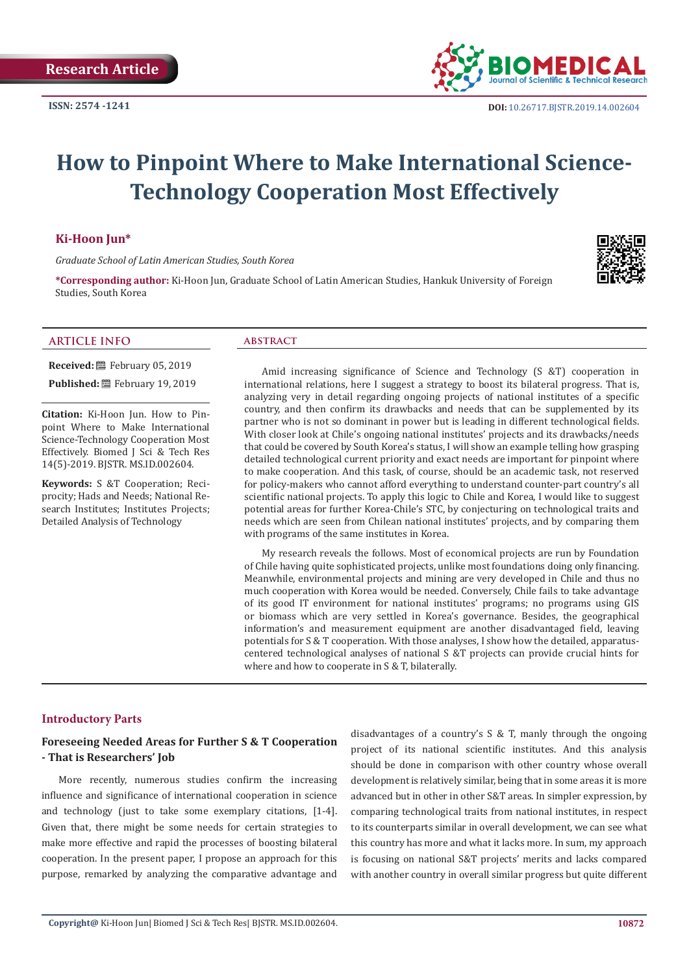

# **How to Pinpoint Where to Make International Science-Technology Cooperation Most Effectively**

#### **Ki-Hoon Jun\***

*Graduate School of Latin American Studies, South Korea*

**\*Corresponding author:** Ki-Hoon Jun, Graduate School of Latin American Studies, Hankuk University of Foreign Studies, South Korea

#### **ARTICLE INFO abstract**

**Received:** February 05, 2019

**Published:** February 19, 2019

**Citation:** Ki-Hoon Jun. How to Pinpoint Where to Make International Science-Technology Cooperation Most Effectively. Biomed J Sci & Tech Res 14(5)-2019. BJSTR. MS.ID.002604.

**Keywords:** S &T Cooperation; Reciprocity; Hads and Needs; National Research Institutes; Institutes Projects; Detailed Analysis of Technology

Amid increasing significance of Science and Technology (S &T) cooperation in international relations, here I suggest a strategy to boost its bilateral progress. That is, analyzing very in detail regarding ongoing projects of national institutes of a specific country, and then confirm its drawbacks and needs that can be supplemented by its partner who is not so dominant in power but is leading in different technological fields. With closer look at Chile's ongoing national institutes' projects and its drawbacks/needs that could be covered by South Korea's status, I will show an example telling how grasping detailed technological current priority and exact needs are important for pinpoint where to make cooperation. And this task, of course, should be an academic task, not reserved for policy-makers who cannot afford everything to understand counter-part country's all scientific national projects. To apply this logic to Chile and Korea, I would like to suggest potential areas for further Korea-Chile's STC, by conjecturing on technological traits and needs which are seen from Chilean national institutes' projects, and by comparing them with programs of the same institutes in Korea.

My research reveals the follows. Most of economical projects are run by Foundation of Chile having quite sophisticated projects, unlike most foundations doing only financing. Meanwhile, environmental projects and mining are very developed in Chile and thus no much cooperation with Korea would be needed. Conversely, Chile fails to take advantage of its good IT environment for national institutes' programs; no programs using GIS or biomass which are very settled in Korea's governance. Besides, the geographical information's and measurement equipment are another disadvantaged field, leaving potentials for S & T cooperation. With those analyses, I show how the detailed, apparatuscentered technological analyses of national S &T projects can provide crucial hints for where and how to cooperate in S & T, bilaterally.

#### **Introductory Parts**

# **Foreseeing Needed Areas for Further S & T Cooperation - That is Researchers' Job**

More recently, numerous studies confirm the increasing influence and significance of international cooperation in science and technology (just to take some exemplary citations, [1-4]. Given that, there might be some needs for certain strategies to make more effective and rapid the processes of boosting bilateral cooperation. In the present paper, I propose an approach for this purpose, remarked by analyzing the comparative advantage and

disadvantages of a country's S & T, manly through the ongoing project of its national scientific institutes. And this analysis should be done in comparison with other country whose overall development is relatively similar, being that in some areas it is more advanced but in other in other S&T areas. In simpler expression, by comparing technological traits from national institutes, in respect to its counterparts similar in overall development, we can see what this country has more and what it lacks more. In sum, my approach is focusing on national S&T projects' merits and lacks compared with another country in overall similar progress but quite different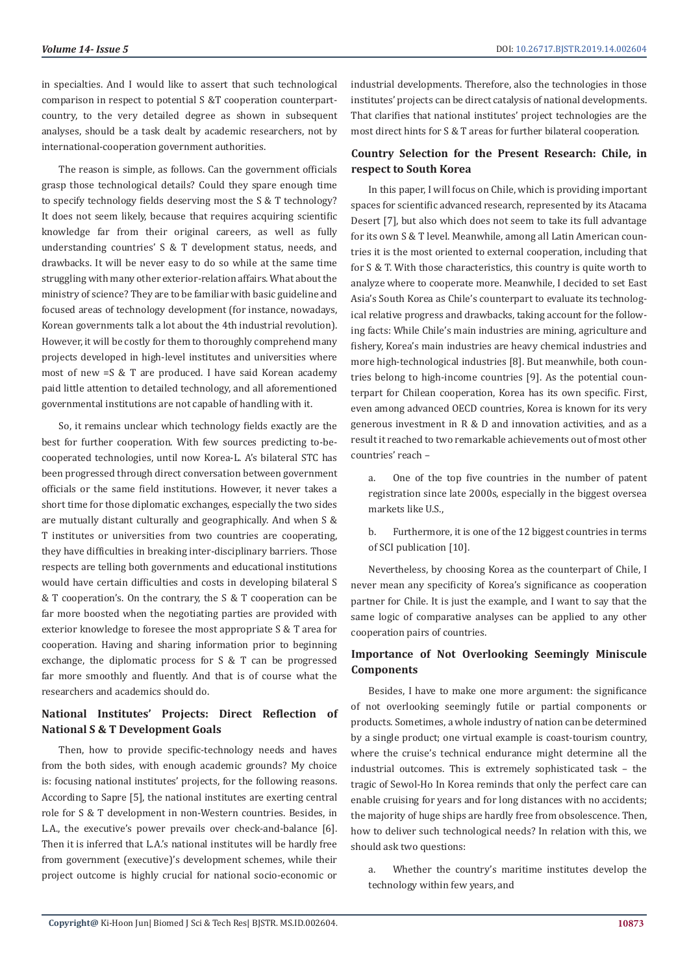in specialties. And I would like to assert that such technological comparison in respect to potential S &T cooperation counterpartcountry, to the very detailed degree as shown in subsequent analyses, should be a task dealt by academic researchers, not by international-cooperation government authorities.

The reason is simple, as follows. Can the government officials grasp those technological details? Could they spare enough time to specify technology fields deserving most the S & T technology? It does not seem likely, because that requires acquiring scientific knowledge far from their original careers, as well as fully understanding countries' S & T development status, needs, and drawbacks. It will be never easy to do so while at the same time struggling with many other exterior-relation affairs. What about the ministry of science? They are to be familiar with basic guideline and focused areas of technology development (for instance, nowadays, Korean governments talk a lot about the 4th industrial revolution). However, it will be costly for them to thoroughly comprehend many projects developed in high-level institutes and universities where most of new =S & T are produced. I have said Korean academy paid little attention to detailed technology, and all aforementioned governmental institutions are not capable of handling with it.

So, it remains unclear which technology fields exactly are the best for further cooperation. With few sources predicting to-becooperated technologies, until now Korea-L. A's bilateral STC has been progressed through direct conversation between government officials or the same field institutions. However, it never takes a short time for those diplomatic exchanges, especially the two sides are mutually distant culturally and geographically. And when S & T institutes or universities from two countries are cooperating, they have difficulties in breaking inter-disciplinary barriers. Those respects are telling both governments and educational institutions would have certain difficulties and costs in developing bilateral S & T cooperation's. On the contrary, the S & T cooperation can be far more boosted when the negotiating parties are provided with exterior knowledge to foresee the most appropriate S & T area for cooperation. Having and sharing information prior to beginning exchange, the diplomatic process for S & T can be progressed far more smoothly and fluently. And that is of course what the researchers and academics should do.

# **National Institutes' Projects: Direct Reflection of National S & T Development Goals**

Then, how to provide specific-technology needs and haves from the both sides, with enough academic grounds? My choice is: focusing national institutes' projects, for the following reasons. According to Sapre [5], the national institutes are exerting central role for S & T development in non-Western countries. Besides, in L.A., the executive's power prevails over check-and-balance [6]. Then it is inferred that L.A.'s national institutes will be hardly free from government (executive)'s development schemes, while their project outcome is highly crucial for national socio-economic or industrial developments. Therefore, also the technologies in those institutes' projects can be direct catalysis of national developments. That clarifies that national institutes' project technologies are the most direct hints for S & T areas for further bilateral cooperation.

# **Country Selection for the Present Research: Chile, in respect to South Korea**

In this paper, I will focus on Chile, which is providing important spaces for scientific advanced research, represented by its Atacama Desert [7], but also which does not seem to take its full advantage for its own S & T level. Meanwhile, among all Latin American countries it is the most oriented to external cooperation, including that for S & T. With those characteristics, this country is quite worth to analyze where to cooperate more. Meanwhile, I decided to set East Asia's South Korea as Chile's counterpart to evaluate its technological relative progress and drawbacks, taking account for the following facts: While Chile's main industries are mining, agriculture and fishery, Korea's main industries are heavy chemical industries and more high-technological industries [8]. But meanwhile, both countries belong to high-income countries [9]. As the potential counterpart for Chilean cooperation, Korea has its own specific. First, even among advanced OECD countries, Korea is known for its very generous investment in R & D and innovation activities, and as a result it reached to two remarkable achievements out of most other countries' reach –

a. One of the top five countries in the number of patent registration since late 2000s, especially in the biggest oversea markets like U.S.,

b. Furthermore, it is one of the 12 biggest countries in terms of SCI publication [10].

Nevertheless, by choosing Korea as the counterpart of Chile, I never mean any specificity of Korea's significance as cooperation partner for Chile. It is just the example, and I want to say that the same logic of comparative analyses can be applied to any other cooperation pairs of countries.

# **Importance of Not Overlooking Seemingly Miniscule Components**

Besides, I have to make one more argument: the significance of not overlooking seemingly futile or partial components or products. Sometimes, a whole industry of nation can be determined by a single product; one virtual example is coast-tourism country, where the cruise's technical endurance might determine all the industrial outcomes. This is extremely sophisticated task – the tragic of Sewol-Ho In Korea reminds that only the perfect care can enable cruising for years and for long distances with no accidents; the majority of huge ships are hardly free from obsolescence. Then, how to deliver such technological needs? In relation with this, we should ask two questions:

a. Whether the country's maritime institutes develop the technology within few years, and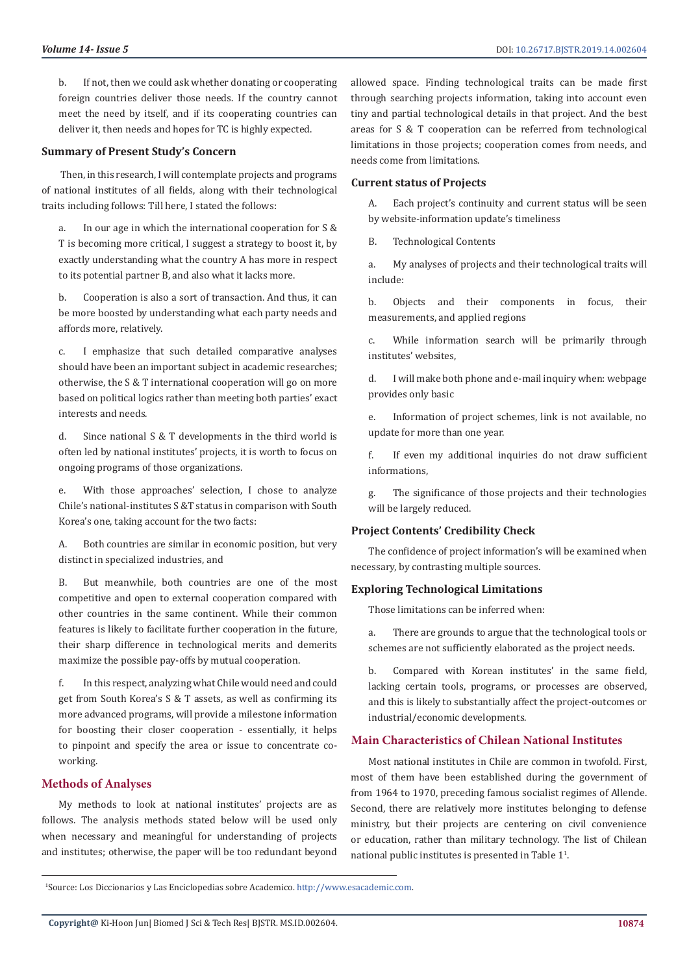b. If not, then we could ask whether donating or cooperating foreign countries deliver those needs. If the country cannot meet the need by itself, and if its cooperating countries can deliver it, then needs and hopes for TC is highly expected.

#### **Summary of Present Study's Concern**

 Then, in this research, I will contemplate projects and programs of national institutes of all fields, along with their technological traits including follows: Till here, I stated the follows:

a. In our age in which the international cooperation for S & T is becoming more critical, I suggest a strategy to boost it, by exactly understanding what the country A has more in respect to its potential partner B, and also what it lacks more.

b. Cooperation is also a sort of transaction. And thus, it can be more boosted by understanding what each party needs and affords more, relatively.

c. I emphasize that such detailed comparative analyses should have been an important subject in academic researches; otherwise, the S & T international cooperation will go on more based on political logics rather than meeting both parties' exact interests and needs.

d. Since national S & T developments in the third world is often led by national institutes' projects, it is worth to focus on ongoing programs of those organizations.

e. With those approaches' selection, I chose to analyze Chile's national-institutes S &T status in comparison with South Korea's one, taking account for the two facts:

A. Both countries are similar in economic position, but very distinct in specialized industries, and

B. But meanwhile, both countries are one of the most competitive and open to external cooperation compared with other countries in the same continent. While their common features is likely to facilitate further cooperation in the future, their sharp difference in technological merits and demerits maximize the possible pay-offs by mutual cooperation.

f. In this respect, analyzing what Chile would need and could get from South Korea's S & T assets, as well as confirming its more advanced programs, will provide a milestone information for boosting their closer cooperation - essentially, it helps to pinpoint and specify the area or issue to concentrate coworking.

# **Methods of Analyses**

My methods to look at national institutes' projects are as follows. The analysis methods stated below will be used only when necessary and meaningful for understanding of projects and institutes; otherwise, the paper will be too redundant beyond

allowed space. Finding technological traits can be made first through searching projects information, taking into account even tiny and partial technological details in that project. And the best areas for S & T cooperation can be referred from technological limitations in those projects; cooperation comes from needs, and needs come from limitations.

### **Current status of Projects**

A. Each project's continuity and current status will be seen by website-information update's timeliness

B. Technological Contents

a. My analyses of projects and their technological traits will include:

b. Objects and their components in focus, their measurements, and applied regions

c. While information search will be primarily through institutes' websites,

d. I will make both phone and e-mail inquiry when: webpage provides only basic

e. Information of project schemes, link is not available, no update for more than one year.

f. If even my additional inquiries do not draw sufficient informations,

g. The significance of those projects and their technologies will be largely reduced.

# **Project Contents' Credibility Check**

The confidence of project information's will be examined when necessary, by contrasting multiple sources.

#### **Exploring Technological Limitations**

Those limitations can be inferred when:

a. There are grounds to argue that the technological tools or schemes are not sufficiently elaborated as the project needs.

b. Compared with Korean institutes' in the same field, lacking certain tools, programs, or processes are observed, and this is likely to substantially affect the project-outcomes or industrial/economic developments.

# **Main Characteristics of Chilean National Institutes**

Most national institutes in Chile are common in twofold. First, most of them have been established during the government of from 1964 to 1970, preceding famous socialist regimes of Allende. Second, there are relatively more institutes belonging to defense ministry, but their projects are centering on civil convenience or education, rather than military technology. The list of Chilean national public institutes is presented in Table  $1^1$ .

 <sup>1</sup>Source: Los Diccionarios y Las Enciclopedias sobre Academico. <http://www.esacademic.com>.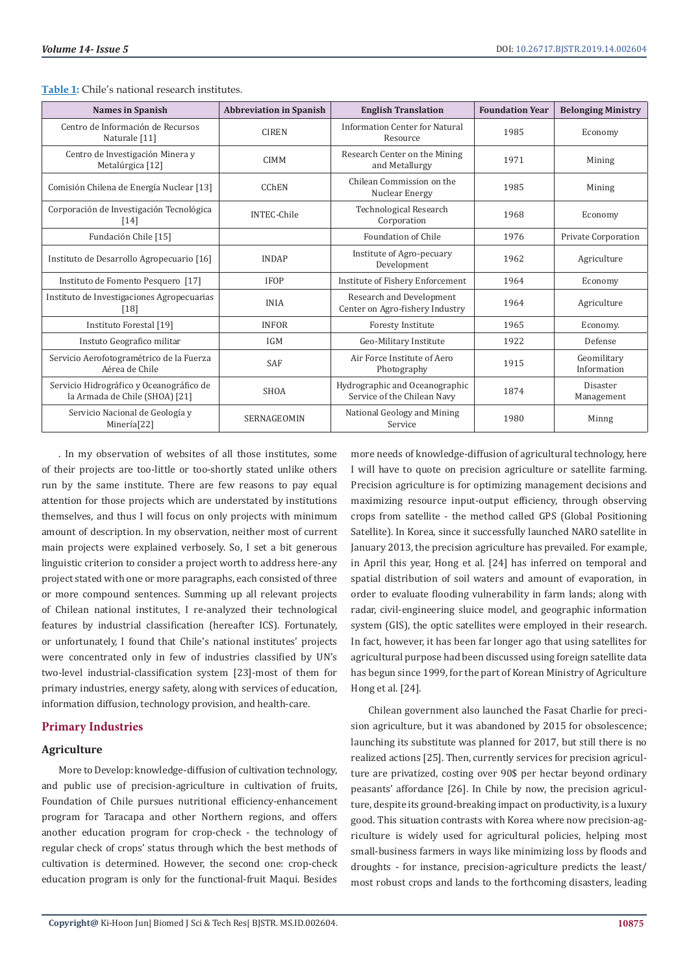| <b>Names in Spanish</b>                                                    | <b>Abbreviation in Spanish</b> | <b>English Translation</b>                                    | <b>Foundation Year</b> | <b>Belonging Ministry</b>  |
|----------------------------------------------------------------------------|--------------------------------|---------------------------------------------------------------|------------------------|----------------------------|
| Centro de Información de Recursos<br>Naturale [11]                         | <b>CIREN</b>                   | Information Center for Natural<br>Resource                    | 1985                   | Economy                    |
| Centro de Investigación Minera y<br>Metalúrgica [12]                       | <b>CIMM</b>                    | Research Center on the Mining<br>and Metallurgy               | 1971                   | Mining                     |
| Comisión Chilena de Energía Nuclear [13]                                   | <b>CChEN</b>                   | Chilean Commission on the<br>Nuclear Energy                   | 1985                   | Mining                     |
| Corporación de Investigación Tecnológica<br>[14]                           | <b>INTEC-Chile</b>             | Technological Research<br>Corporation                         | 1968                   | Economy                    |
| Fundación Chile [15]                                                       |                                | Foundation of Chile                                           | 1976                   | Private Corporation        |
| Instituto de Desarrollo Agropecuario [16]                                  | <b>INDAP</b>                   | Institute of Agro-pecuary<br>Development                      | 1962                   | Agriculture                |
| Instituto de Fomento Pesquero [17]                                         | <b>IFOP</b>                    | Institute of Fishery Enforcement                              | 1964                   | Economy                    |
| Instituto de Investigaciones Agropecuarias<br>$[18]$                       | <b>INIA</b>                    | Research and Development<br>Center on Agro-fishery Industry   | 1964                   | Agriculture                |
| Instituto Forestal [19]                                                    | <b>INFOR</b>                   | <b>Foresty Institute</b>                                      | 1965                   | Economy.                   |
| Instuto Geografico militar                                                 | <b>IGM</b>                     | Geo-Military Institute                                        | 1922                   | Defense                    |
| Servicio Aerofotogramétrico de la Fuerza<br>Aérea de Chile                 | <b>SAF</b>                     | Air Force Institute of Aero<br>Photography                    | 1915                   | Geomilitary<br>Information |
| Servicio Hidrográfico y Oceanográfico de<br>la Armada de Chile (SHOA) [21] | <b>SHOA</b>                    | Hydrographic and Oceanographic<br>Service of the Chilean Navy | 1874                   | Disaster<br>Management     |
| Servicio Nacional de Geología y<br>Minería <sup>[22]</sup>                 | SERNAGEOMIN                    | National Geology and Mining<br>Service                        | 1980                   | Minng                      |

**Table 1:** Chile's national research institutes.

. In my observation of websites of all those institutes, some of their projects are too-little or too-shortly stated unlike others run by the same institute. There are few reasons to pay equal attention for those projects which are understated by institutions themselves, and thus I will focus on only projects with minimum amount of description. In my observation, neither most of current main projects were explained verbosely. So, I set a bit generous linguistic criterion to consider a project worth to address here-any project stated with one or more paragraphs, each consisted of three or more compound sentences. Summing up all relevant projects of Chilean national institutes, I re-analyzed their technological features by industrial classification (hereafter ICS). Fortunately, or unfortunately, I found that Chile's national institutes' projects were concentrated only in few of industries classified by UN's two-level industrial-classification system [23]-most of them for primary industries, energy safety, along with services of education, information diffusion, technology provision, and health-care.

# **Primary Industries**

### **Agriculture**

More to Develop: knowledge-diffusion of cultivation technology, and public use of precision-agriculture in cultivation of fruits, Foundation of Chile pursues nutritional efficiency-enhancement program for Taracapa and other Northern regions, and offers another education program for crop-check - the technology of regular check of crops' status through which the best methods of cultivation is determined. However, the second one: crop-check education program is only for the functional-fruit Maqui. Besides

more needs of knowledge-diffusion of agricultural technology, here I will have to quote on precision agriculture or satellite farming. Precision agriculture is for optimizing management decisions and maximizing resource input-output efficiency, through observing crops from satellite - the method called GPS (Global Positioning Satellite). In Korea, since it successfully launched NARO satellite in January 2013, the precision agriculture has prevailed. For example, in April this year, Hong et al. [24] has inferred on temporal and spatial distribution of soil waters and amount of evaporation, in order to evaluate flooding vulnerability in farm lands; along with radar, civil-engineering sluice model, and geographic information system (GIS), the optic satellites were employed in their research. In fact, however, it has been far longer ago that using satellites for agricultural purpose had been discussed using foreign satellite data has begun since 1999, for the part of Korean Ministry of Agriculture Hong et al. [24].

Chilean government also launched the Fasat Charlie for precision agriculture, but it was abandoned by 2015 for obsolescence; launching its substitute was planned for 2017, but still there is no realized actions [25]. Then, currently services for precision agriculture are privatized, costing over 90\$ per hectar beyond ordinary peasants' affordance [26]. In Chile by now, the precision agriculture, despite its ground-breaking impact on productivity, is a luxury good. This situation contrasts with Korea where now precision-agriculture is widely used for agricultural policies, helping most small-business farmers in ways like minimizing loss by floods and droughts - for instance, precision-agriculture predicts the least/ most robust crops and lands to the forthcoming disasters, leading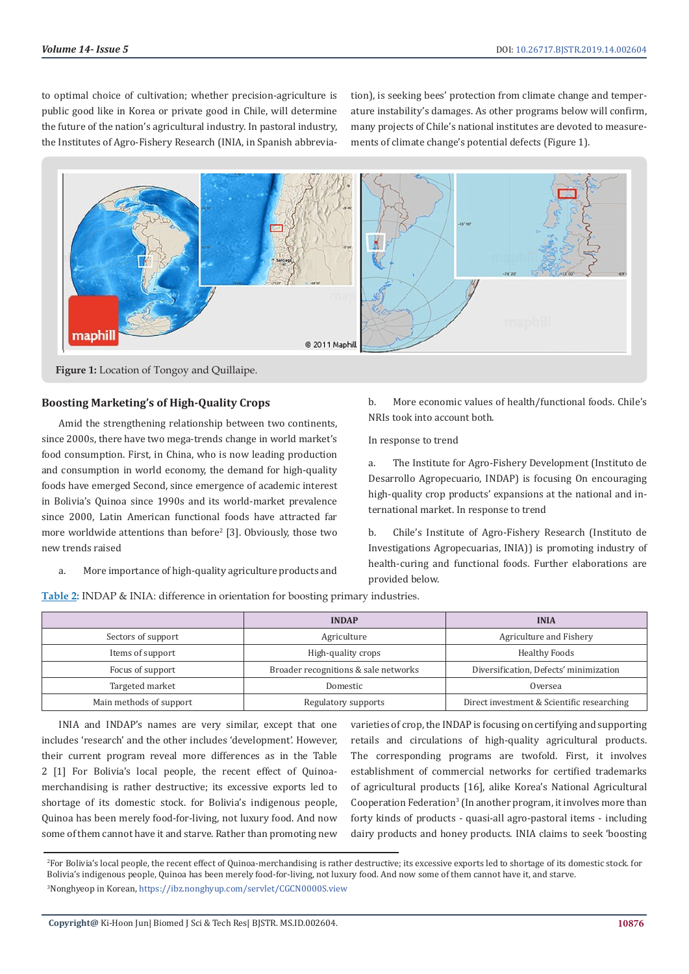to optimal choice of cultivation; whether precision-agriculture is public good like in Korea or private good in Chile, will determine the future of the nation's agricultural industry. In pastoral industry, the Institutes of Agro-Fishery Research (INIA, in Spanish abbreviation), is seeking bees' protection from climate change and temperature instability's damages. As other programs below will confirm, many projects of Chile's national institutes are devoted to measurements of climate change's potential defects (Figure 1).



**Figure 1:** Location of Tongoy and Quillaipe.

# **Boosting Marketing's of High-Quality Crops**

Amid the strengthening relationship between two continents, since 2000s, there have two mega-trends change in world market's food consumption. First, in China, who is now leading production and consumption in world economy, the demand for high-quality foods have emerged Second, since emergence of academic interest in Bolivia's Quinoa since 1990s and its world-market prevalence since 2000, Latin American functional foods have attracted far more worldwide attentions than before<sup>2</sup> [3]. Obviously, those two new trends raised

b. More economic values of health/functional foods. Chile's NRIs took into account both.

In response to trend

a. The Institute for Agro-Fishery Development (Instituto de Desarrollo Agropecuario, INDAP) is focusing On encouraging high-quality crop products' expansions at the national and international market. In response to trend

b. Chile's Institute of Agro-Fishery Research (Instituto de Investigations Agropecuarias, INIA)) is promoting industry of health-curing and functional foods. Further elaborations are provided below.

a. More importance of high-quality agriculture products and

**Table 2:** INDAP & INIA: difference in orientation for boosting primary industries.

|                         | <b>INDAP</b>                         | <b>INIA</b>                                |  |
|-------------------------|--------------------------------------|--------------------------------------------|--|
| Sectors of support      | Agriculture                          | Agriculture and Fishery                    |  |
| Items of support        | High-quality crops                   | <b>Healthy Foods</b>                       |  |
| Focus of support        | Broader recognitions & sale networks | Diversification, Defects' minimization     |  |
| Targeted market         | Domestic                             | Oversea                                    |  |
| Main methods of support | Regulatory supports                  | Direct investment & Scientific researching |  |

INIA and INDAP's names are very similar, except that one includes 'research' and the other includes 'development'. However, their current program reveal more differences as in the Table 2 [1] For Bolivia's local people, the recent effect of Quinoamerchandising is rather destructive; its excessive exports led to shortage of its domestic stock. for Bolivia's indigenous people, Quinoa has been merely food-for-living, not luxury food. And now some of them cannot have it and starve. Rather than promoting new

varieties of crop, the INDAP is focusing on certifying and supporting retails and circulations of high-quality agricultural products. The corresponding programs are twofold. First, it involves establishment of commercial networks for certified trademarks of agricultural products [16], alike Korea's National Agricultural Cooperation Federation<sup>3</sup> (In another program, it involves more than forty kinds of products - quasi-all agro-pastoral items - including dairy products and honey products. INIA claims to seek 'boosting

<sup>2</sup> For Bolivia's local people, the recent effect of Quinoa-merchandising is rather destructive; its excessive exports led to shortage of its domestic stock. for Bolivia's indigenous people, Quinoa has been merely food-for-living, not luxury food. And now some of them cannot have it, and starve. 3 Nonghyeop in Korean,<https://ibz.nonghyup.com/servlet/CGCN0000S.view>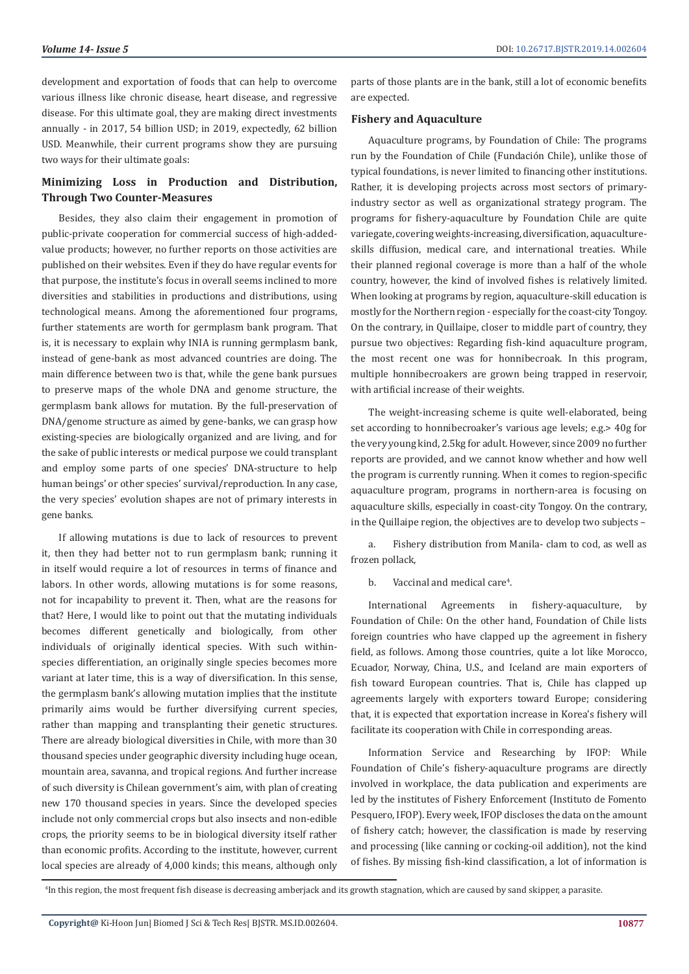development and exportation of foods that can help to overcome various illness like chronic disease, heart disease, and regressive disease. For this ultimate goal, they are making direct investments annually - in 2017, 54 billion USD; in 2019, expectedly, 62 billion USD. Meanwhile, their current programs show they are pursuing two ways for their ultimate goals:

# **Minimizing Loss in Production and Distribution, Through Two Counter-Measures**

Besides, they also claim their engagement in promotion of public-private cooperation for commercial success of high-addedvalue products; however, no further reports on those activities are published on their websites. Even if they do have regular events for that purpose, the institute's focus in overall seems inclined to more diversities and stabilities in productions and distributions, using technological means. Among the aforementioned four programs, further statements are worth for germplasm bank program. That is, it is necessary to explain why INIA is running germplasm bank, instead of gene-bank as most advanced countries are doing. The main difference between two is that, while the gene bank pursues to preserve maps of the whole DNA and genome structure, the germplasm bank allows for mutation. By the full-preservation of DNA/genome structure as aimed by gene-banks, we can grasp how existing-species are biologically organized and are living, and for the sake of public interests or medical purpose we could transplant and employ some parts of one species' DNA-structure to help human beings' or other species' survival/reproduction. In any case, the very species' evolution shapes are not of primary interests in gene banks.

If allowing mutations is due to lack of resources to prevent it, then they had better not to run germplasm bank; running it in itself would require a lot of resources in terms of finance and labors. In other words, allowing mutations is for some reasons, not for incapability to prevent it. Then, what are the reasons for that? Here, I would like to point out that the mutating individuals becomes different genetically and biologically, from other individuals of originally identical species. With such withinspecies differentiation, an originally single species becomes more variant at later time, this is a way of diversification. In this sense, the germplasm bank's allowing mutation implies that the institute primarily aims would be further diversifying current species, rather than mapping and transplanting their genetic structures. There are already biological diversities in Chile, with more than 30 thousand species under geographic diversity including huge ocean, mountain area, savanna, and tropical regions. And further increase of such diversity is Chilean government's aim, with plan of creating new 170 thousand species in years. Since the developed species include not only commercial crops but also insects and non-edible crops, the priority seems to be in biological diversity itself rather than economic profits. According to the institute, however, current local species are already of 4,000 kinds; this means, although only

parts of those plants are in the bank, still a lot of economic benefits are expected.

#### **Fishery and Aquaculture**

Aquaculture programs, by Foundation of Chile: The programs run by the Foundation of Chile (Fundación Chile), unlike those of typical foundations, is never limited to financing other institutions. Rather, it is developing projects across most sectors of primaryindustry sector as well as organizational strategy program. The programs for fishery-aquaculture by Foundation Chile are quite variegate, covering weights-increasing, diversification, aquacultureskills diffusion, medical care, and international treaties. While their planned regional coverage is more than a half of the whole country, however, the kind of involved fishes is relatively limited. When looking at programs by region, aquaculture-skill education is mostly for the Northern region - especially for the coast-city Tongoy. On the contrary, in Quillaipe, closer to middle part of country, they pursue two objectives: Regarding fish-kind aquaculture program, the most recent one was for honnibecroak. In this program, multiple honnibecroakers are grown being trapped in reservoir, with artificial increase of their weights.

The weight-increasing scheme is quite well-elaborated, being set according to honnibecroaker's various age levels; e.g.> 40g for the very young kind, 2.5kg for adult. However, since 2009 no further reports are provided, and we cannot know whether and how well the program is currently running. When it comes to region-specific aquaculture program, programs in northern-area is focusing on aquaculture skills, especially in coast-city Tongoy. On the contrary, in the Quillaipe region, the objectives are to develop two subjects –

a. Fishery distribution from Manila- clam to cod, as well as frozen pollack,

b. Vaccinal and medical care<sup>4</sup>.

International Agreements in fishery-aquaculture, by Foundation of Chile: On the other hand, Foundation of Chile lists foreign countries who have clapped up the agreement in fishery field, as follows. Among those countries, quite a lot like Morocco, Ecuador, Norway, China, U.S., and Iceland are main exporters of fish toward European countries. That is, Chile has clapped up agreements largely with exporters toward Europe; considering that, it is expected that exportation increase in Korea's fishery will facilitate its cooperation with Chile in corresponding areas.

Information Service and Researching by IFOP: While Foundation of Chile's fishery-aquaculture programs are directly involved in workplace, the data publication and experiments are led by the institutes of Fishery Enforcement (Instituto de Fomento Pesquero, IFOP). Every week, IFOP discloses the data on the amount of fishery catch; however, the classification is made by reserving and processing (like canning or cocking-oil addition), not the kind of fishes. By missing fish-kind classification, a lot of information is

<sup>4</sup> In this region, the most frequent fish disease is decreasing amberjack and its growth stagnation, which are caused by sand skipper, a parasite.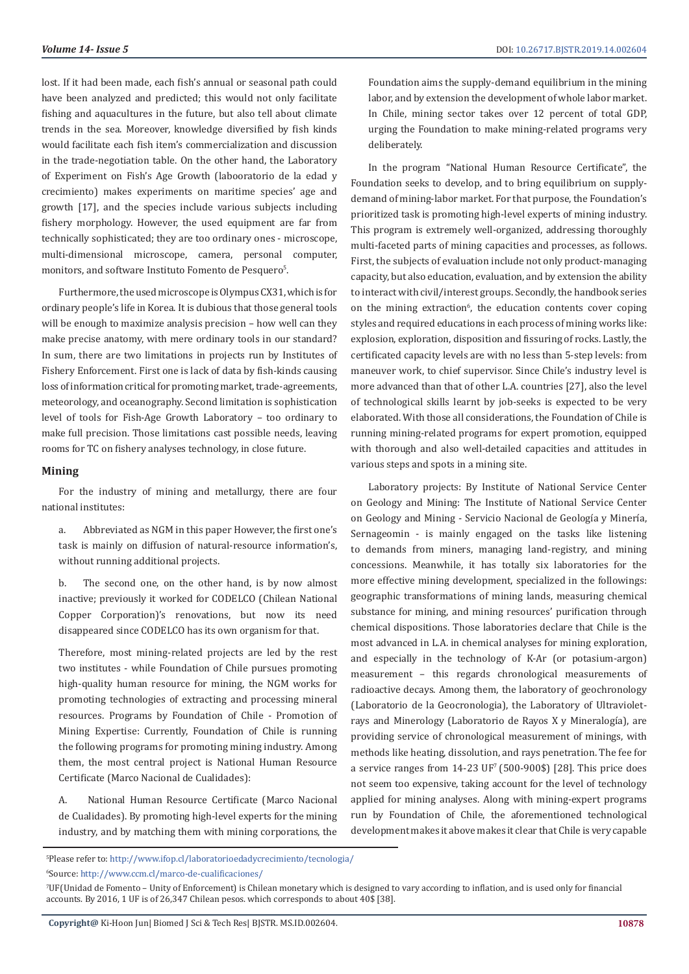lost. If it had been made, each fish's annual or seasonal path could have been analyzed and predicted; this would not only facilitate fishing and aquacultures in the future, but also tell about climate trends in the sea. Moreover, knowledge diversified by fish kinds would facilitate each fish item's commercialization and discussion in the trade-negotiation table. On the other hand, the Laboratory of Experiment on Fish's Age Growth (labooratorio de la edad y crecimiento) makes experiments on maritime species' age and growth [17], and the species include various subjects including fishery morphology. However, the used equipment are far from technically sophisticated; they are too ordinary ones - microscope, multi-dimensional microscope, camera, personal computer, monitors, and software Instituto Fomento de Pesquero<sup>5</sup>.

Furthermore, the used microscope is Olympus CX31, which is for ordinary people's life in Korea. It is dubious that those general tools will be enough to maximize analysis precision – how well can they make precise anatomy, with mere ordinary tools in our standard? In sum, there are two limitations in projects run by Institutes of Fishery Enforcement. First one is lack of data by fish-kinds causing loss of information critical for promoting market, trade-agreements, meteorology, and oceanography. Second limitation is sophistication level of tools for Fish-Age Growth Laboratory – too ordinary to make full precision. Those limitations cast possible needs, leaving rooms for TC on fishery analyses technology, in close future.

#### **Mining**

For the industry of mining and metallurgy, there are four national institutes:

a. Abbreviated as NGM in this paper However, the first one's task is mainly on diffusion of natural-resource information's, without running additional projects.

b. The second one, on the other hand, is by now almost inactive; previously it worked for CODELCO (Chilean National Copper Corporation)'s renovations, but now its need disappeared since CODELCO has its own organism for that.

Therefore, most mining-related projects are led by the rest two institutes - while Foundation of Chile pursues promoting high-quality human resource for mining, the NGM works for promoting technologies of extracting and processing mineral resources. Programs by Foundation of Chile - Promotion of Mining Expertise: Currently, Foundation of Chile is running the following programs for promoting mining industry. Among them, the most central project is National Human Resource Certificate (Marco Nacional de Cualidades):

A. National Human Resource Certificate (Marco Nacional de Cualidades). By promoting high-level experts for the mining industry, and by matching them with mining corporations, the

Foundation aims the supply-demand equilibrium in the mining labor, and by extension the development of whole labor market. In Chile, mining sector takes over 12 percent of total GDP, urging the Foundation to make mining-related programs very deliberately.

In the program "National Human Resource Certificate", the Foundation seeks to develop, and to bring equilibrium on supplydemand of mining-labor market. For that purpose, the Foundation's prioritized task is promoting high-level experts of mining industry. This program is extremely well-organized, addressing thoroughly multi-faceted parts of mining capacities and processes, as follows. First, the subjects of evaluation include not only product-managing capacity, but also education, evaluation, and by extension the ability to interact with civil/interest groups. Secondly, the handbook series on the mining extraction<sup>6</sup>, the education contents cover coping styles and required educations in each process of mining works like: explosion, exploration, disposition and fissuring of rocks. Lastly, the certificated capacity levels are with no less than 5-step levels: from maneuver work, to chief supervisor. Since Chile's industry level is more advanced than that of other L.A. countries [27], also the level of technological skills learnt by job-seeks is expected to be very elaborated. With those all considerations, the Foundation of Chile is running mining-related programs for expert promotion, equipped with thorough and also well-detailed capacities and attitudes in various steps and spots in a mining site.

Laboratory projects: By Institute of National Service Center on Geology and Mining: The Institute of National Service Center on Geology and Mining - Servicio Nacional de Geología y Minería, Sernageomin - is mainly engaged on the tasks like listening to demands from miners, managing land-registry, and mining concessions. Meanwhile, it has totally six laboratories for the more effective mining development, specialized in the followings: geographic transformations of mining lands, measuring chemical substance for mining, and mining resources' purification through chemical dispositions. Those laboratories declare that Chile is the most advanced in L.A. in chemical analyses for mining exploration, and especially in the technology of K-Ar (or potasium-argon) measurement – this regards chronological measurements of radioactive decays. Among them, the laboratory of geochronology (Laboratorio de la Geocronologia), the Laboratory of Ultravioletrays and Minerology (Laboratorio de Rayos X y Mineralogía), are providing service of chronological measurement of minings, with methods like heating, dissolution, and rays penetration. The fee for a service ranges from  $14-23$  UF<sup>7</sup> (500-900\$) [28]. This price does not seem too expensive, taking account for the level of technology applied for mining analyses. Along with mining-expert programs run by Foundation of Chile, the aforementioned technological development makes it above makes it clear that Chile is very capable

6 Source: <http://www.ccm.cl/marco-de-cualificaciones/>

<sup>5</sup> Please refer to: [http://www.ifop.cl/laboratorioedadycrecimiento/tecnologia/](http://http://www.ifop.cl/laboratorioedadycrecimiento/tecnologia/)

<sup>7</sup> UF(Unidad de Fomento – Unity of Enforcement) is Chilean monetary which is designed to vary according to inflation, and is used only for financial accounts. By 2016, 1 UF is of 26,347 Chilean pesos. which corresponds to about 40\$ [38].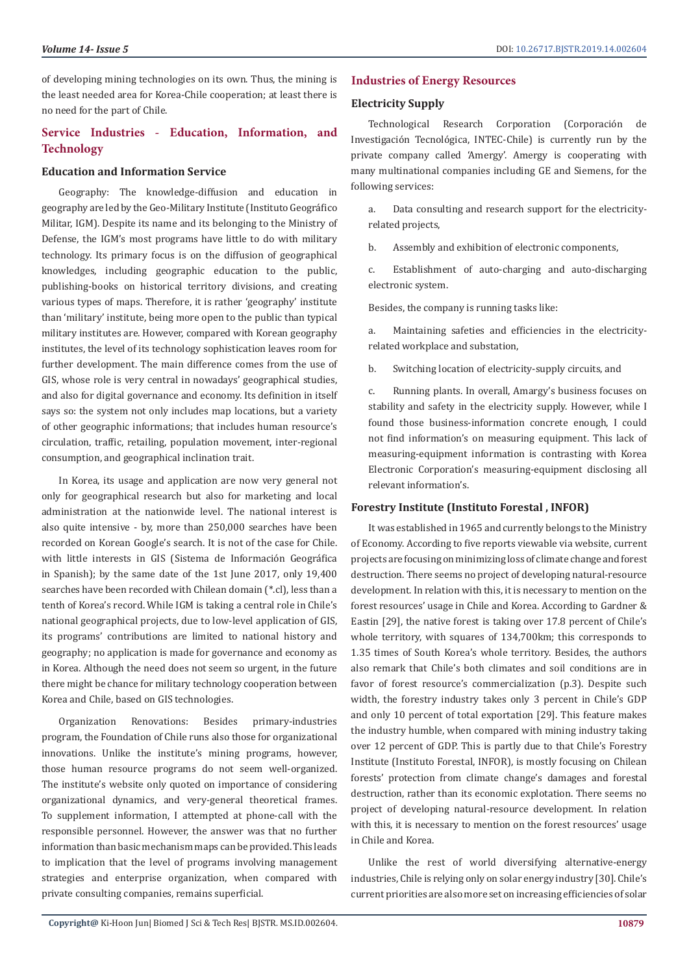of developing mining technologies on its own. Thus, the mining is the least needed area for Korea-Chile cooperation; at least there is no need for the part of Chile.

# **Service Industries - Education, Information, and Technology**

# **Education and Information Service**

Geography: The knowledge-diffusion and education in geography are led by the Geo-Military Institute (Instituto Geográfico Militar, IGM). Despite its name and its belonging to the Ministry of Defense, the IGM's most programs have little to do with military technology. Its primary focus is on the diffusion of geographical knowledges, including geographic education to the public, publishing-books on historical territory divisions, and creating various types of maps. Therefore, it is rather 'geography' institute than 'military' institute, being more open to the public than typical military institutes are. However, compared with Korean geography institutes, the level of its technology sophistication leaves room for further development. The main difference comes from the use of GIS, whose role is very central in nowadays' geographical studies, and also for digital governance and economy. Its definition in itself says so: the system not only includes map locations, but a variety of other geographic informations; that includes human resource's circulation, traffic, retailing, population movement, inter-regional consumption, and geographical inclination trait.

In Korea, its usage and application are now very general not only for geographical research but also for marketing and local administration at the nationwide level. The national interest is also quite intensive - by, more than 250,000 searches have been recorded on Korean Google's search. It is not of the case for Chile. with little interests in GIS (Sistema de Información Geográfica in Spanish); by the same date of the 1st June 2017, only 19,400 searches have been recorded with Chilean domain (\*.cl), less than a tenth of Korea's record. While IGM is taking a central role in Chile's national geographical projects, due to low-level application of GIS, its programs' contributions are limited to national history and geography; no application is made for governance and economy as in Korea. Although the need does not seem so urgent, in the future there might be chance for military technology cooperation between Korea and Chile, based on GIS technologies.

Organization Renovations: Besides primary-industries program, the Foundation of Chile runs also those for organizational innovations. Unlike the institute's mining programs, however, those human resource programs do not seem well-organized. The institute's website only quoted on importance of considering organizational dynamics, and very-general theoretical frames. To supplement information, I attempted at phone-call with the responsible personnel. However, the answer was that no further information than basic mechanism maps can be provided. This leads to implication that the level of programs involving management strategies and enterprise organization, when compared with private consulting companies, remains superficial.

## **Industries of Energy Resources**

### **Electricity Supply**

Technological Research Corporation (Corporación de Investigación Tecnológica, INTEC-Chile) is currently run by the private company called 'Amergy'. Amergy is cooperating with many multinational companies including GE and Siemens, for the following services:

a. Data consulting and research support for the electricityrelated projects,

b. Assembly and exhibition of electronic components,

c. Establishment of auto-charging and auto-discharging electronic system.

Besides, the company is running tasks like:

a. Maintaining safeties and efficiencies in the electricityrelated workplace and substation,

b. Switching location of electricity-supply circuits, and

c. Running plants. In overall, Amargy's business focuses on stability and safety in the electricity supply. However, while I found those business-information concrete enough, I could not find information's on measuring equipment. This lack of measuring-equipment information is contrasting with Korea Electronic Corporation's measuring-equipment disclosing all relevant information's.

#### **Forestry Institute (Instituto Forestal , INFOR)**

It was established in 1965 and currently belongs to the Ministry of Economy. According to five reports viewable via website, current projects are focusing on minimizing loss of climate change and forest destruction. There seems no project of developing natural-resource development. In relation with this, it is necessary to mention on the forest resources' usage in Chile and Korea. According to Gardner & Eastin [29], the native forest is taking over 17.8 percent of Chile's whole territory, with squares of 134,700km; this corresponds to 1.35 times of South Korea's whole territory. Besides, the authors also remark that Chile's both climates and soil conditions are in favor of forest resource's commercialization (p.3). Despite such width, the forestry industry takes only 3 percent in Chile's GDP and only 10 percent of total exportation [29]. This feature makes the industry humble, when compared with mining industry taking over 12 percent of GDP. This is partly due to that Chile's Forestry Institute (Instituto Forestal, INFOR), is mostly focusing on Chilean forests' protection from climate change's damages and forestal destruction, rather than its economic explotation. There seems no project of developing natural-resource development. In relation with this, it is necessary to mention on the forest resources' usage in Chile and Korea.

Unlike the rest of world diversifying alternative-energy industries, Chile is relying only on solar energy industry [30]. Chile's current priorities are also more set on increasing efficiencies of solar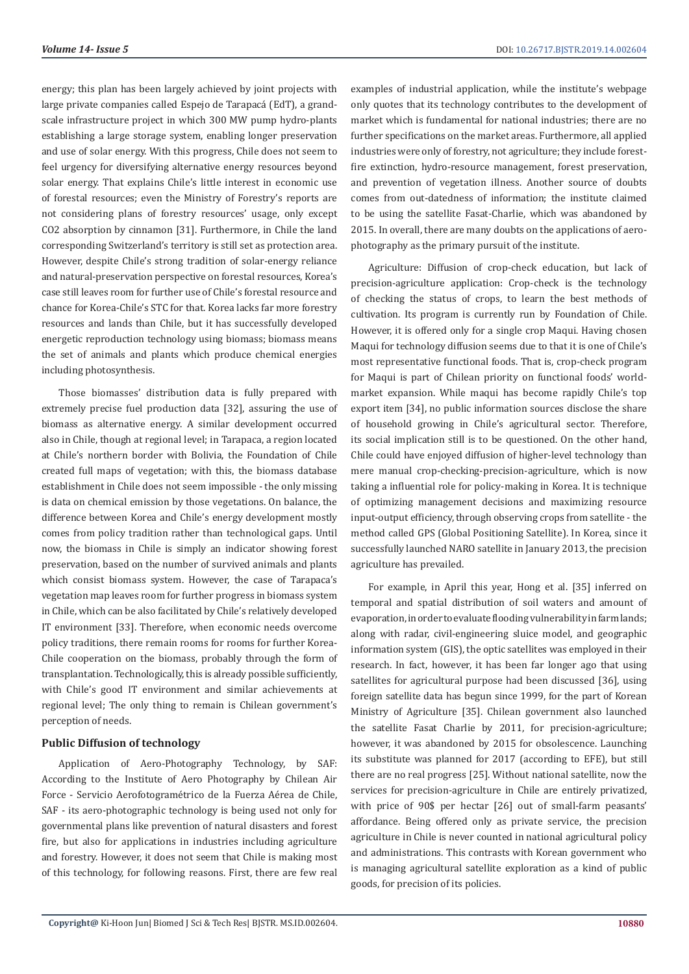energy; this plan has been largely achieved by joint projects with large private companies called Espejo de Tarapacá (EdT), a grandscale infrastructure project in which 300 MW pump hydro-plants establishing a large storage system, enabling longer preservation and use of solar energy. With this progress, Chile does not seem to feel urgency for diversifying alternative energy resources beyond solar energy. That explains Chile's little interest in economic use of forestal resources; even the Ministry of Forestry's reports are not considering plans of forestry resources' usage, only except CO2 absorption by cinnamon [31]. Furthermore, in Chile the land corresponding Switzerland's territory is still set as protection area. However, despite Chile's strong tradition of solar-energy reliance and natural-preservation perspective on forestal resources, Korea's case still leaves room for further use of Chile's forestal resource and chance for Korea-Chile's STC for that. Korea lacks far more forestry resources and lands than Chile, but it has successfully developed energetic reproduction technology using biomass; biomass means the set of animals and plants which produce chemical energies including photosynthesis.

Those biomasses' distribution data is fully prepared with extremely precise fuel production data [32], assuring the use of biomass as alternative energy. A similar development occurred also in Chile, though at regional level; in Tarapaca, a region located at Chile's northern border with Bolivia, the Foundation of Chile created full maps of vegetation; with this, the biomass database establishment in Chile does not seem impossible - the only missing is data on chemical emission by those vegetations. On balance, the difference between Korea and Chile's energy development mostly comes from policy tradition rather than technological gaps. Until now, the biomass in Chile is simply an indicator showing forest preservation, based on the number of survived animals and plants which consist biomass system. However, the case of Tarapaca's vegetation map leaves room for further progress in biomass system in Chile, which can be also facilitated by Chile's relatively developed IT environment [33]. Therefore, when economic needs overcome policy traditions, there remain rooms for rooms for further Korea-Chile cooperation on the biomass, probably through the form of transplantation. Technologically, this is already possible sufficiently, with Chile's good IT environment and similar achievements at regional level; The only thing to remain is Chilean government's perception of needs.

# **Public Diffusion of technology**

Application of Aero-Photography Technology, by SAF: According to the Institute of Aero Photography by Chilean Air Force - Servicio Aerofotogramétrico de la Fuerza Aérea de Chile, SAF - its aero-photographic technology is being used not only for governmental plans like prevention of natural disasters and forest fire, but also for applications in industries including agriculture and forestry. However, it does not seem that Chile is making most of this technology, for following reasons. First, there are few real

examples of industrial application, while the institute's webpage only quotes that its technology contributes to the development of market which is fundamental for national industries; there are no further specifications on the market areas. Furthermore, all applied industries were only of forestry, not agriculture; they include forestfire extinction, hydro-resource management, forest preservation, and prevention of vegetation illness. Another source of doubts comes from out-datedness of information; the institute claimed to be using the satellite Fasat-Charlie, which was abandoned by 2015. In overall, there are many doubts on the applications of aerophotography as the primary pursuit of the institute.

Agriculture: Diffusion of crop-check education, but lack of precision-agriculture application: Crop-check is the technology of checking the status of crops, to learn the best methods of cultivation. Its program is currently run by Foundation of Chile. However, it is offered only for a single crop Maqui. Having chosen Maqui for technology diffusion seems due to that it is one of Chile's most representative functional foods. That is, crop-check program for Maqui is part of Chilean priority on functional foods' worldmarket expansion. While maqui has become rapidly Chile's top export item [34], no public information sources disclose the share of household growing in Chile's agricultural sector. Therefore, its social implication still is to be questioned. On the other hand, Chile could have enjoyed diffusion of higher-level technology than mere manual crop-checking-precision-agriculture, which is now taking a influential role for policy-making in Korea. It is technique of optimizing management decisions and maximizing resource input-output efficiency, through observing crops from satellite - the method called GPS (Global Positioning Satellite). In Korea, since it successfully launched NARO satellite in January 2013, the precision agriculture has prevailed.

For example, in April this year, Hong et al. [35] inferred on temporal and spatial distribution of soil waters and amount of evaporation, in order to evaluate flooding vulnerability in farm lands; along with radar, civil-engineering sluice model, and geographic information system (GIS), the optic satellites was employed in their research. In fact, however, it has been far longer ago that using satellites for agricultural purpose had been discussed [36], using foreign satellite data has begun since 1999, for the part of Korean Ministry of Agriculture [35]. Chilean government also launched the satellite Fasat Charlie by 2011, for precision-agriculture; however, it was abandoned by 2015 for obsolescence. Launching its substitute was planned for 2017 (according to EFE), but still there are no real progress [25]. Without national satellite, now the services for precision-agriculture in Chile are entirely privatized, with price of 90\$ per hectar [26] out of small-farm peasants' affordance. Being offered only as private service, the precision agriculture in Chile is never counted in national agricultural policy and administrations. This contrasts with Korean government who is managing agricultural satellite exploration as a kind of public goods, for precision of its policies.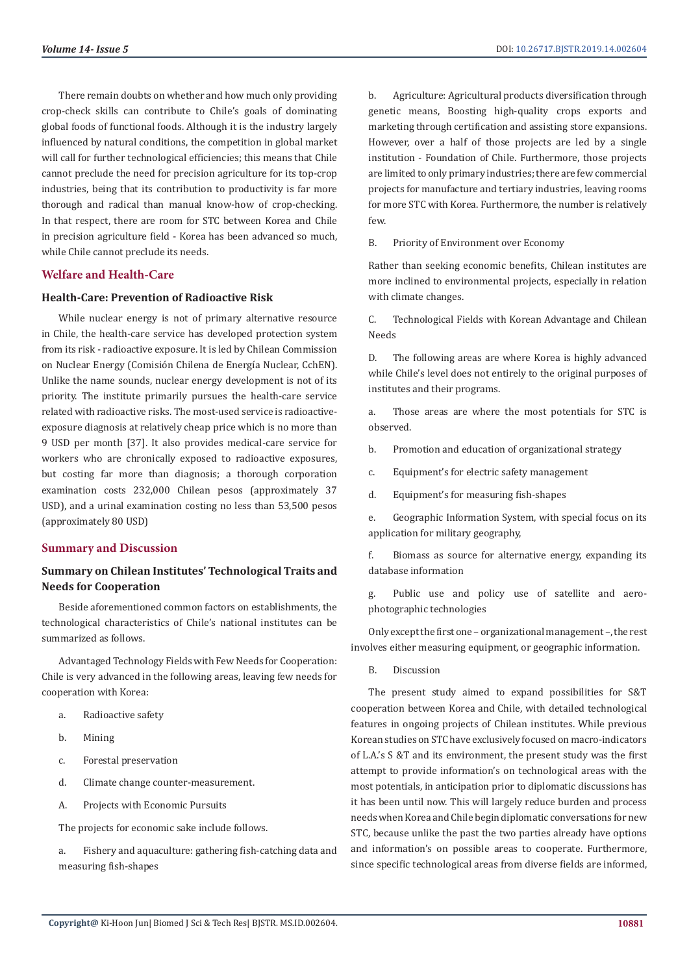There remain doubts on whether and how much only providing crop-check skills can contribute to Chile's goals of dominating global foods of functional foods. Although it is the industry largely influenced by natural conditions, the competition in global market will call for further technological efficiencies; this means that Chile cannot preclude the need for precision agriculture for its top-crop industries, being that its contribution to productivity is far more thorough and radical than manual know-how of crop-checking. In that respect, there are room for STC between Korea and Chile in precision agriculture field - Korea has been advanced so much, while Chile cannot preclude its needs.

# **Welfare and Health-Care**

# **Health-Care: Prevention of Radioactive Risk**

While nuclear energy is not of primary alternative resource in Chile, the health-care service has developed protection system from its risk - radioactive exposure. It is led by Chilean Commission on Nuclear Energy (Comisión Chilena de Energía Nuclear, CchEN). Unlike the name sounds, nuclear energy development is not of its priority. The institute primarily pursues the health-care service related with radioactive risks. The most-used service is radioactiveexposure diagnosis at relatively cheap price which is no more than 9 USD per month [37]. It also provides medical-care service for workers who are chronically exposed to radioactive exposures, but costing far more than diagnosis; a thorough corporation examination costs 232,000 Chilean pesos (approximately 37 USD), and a urinal examination costing no less than 53,500 pesos (approximately 80 USD)

# **Summary and Discussion**

# **Summary on Chilean Institutes' Technological Traits and Needs for Cooperation**

Beside aforementioned common factors on establishments, the technological characteristics of Chile's national institutes can be summarized as follows.

Advantaged Technology Fields with Few Needs for Cooperation: Chile is very advanced in the following areas, leaving few needs for cooperation with Korea:

- a. Radioactive safety
- b. Mining
- c. Forestal preservation
- d. Climate change counter-measurement.
- A. Projects with Economic Pursuits

The projects for economic sake include follows.

a. Fishery and aquaculture: gathering fish-catching data and measuring fish-shapes

b. Agriculture: Agricultural products diversification through genetic means, Boosting high-quality crops exports and marketing through certification and assisting store expansions. However, over a half of those projects are led by a single institution - Foundation of Chile. Furthermore, those projects are limited to only primary industries; there are few commercial projects for manufacture and tertiary industries, leaving rooms for more STC with Korea. Furthermore, the number is relatively few.

B. Priority of Environment over Economy

Rather than seeking economic benefits, Chilean institutes are more inclined to environmental projects, especially in relation with climate changes.

C. Technological Fields with Korean Advantage and Chilean Needs

D. The following areas are where Korea is highly advanced while Chile's level does not entirely to the original purposes of institutes and their programs.

a. Those areas are where the most potentials for STC is observed.

- b. Promotion and education of organizational strategy
- c. Equipment's for electric safety management
- d. Equipment's for measuring fish-shapes

e. Geographic Information System, with special focus on its application for military geography,

f. Biomass as source for alternative energy, expanding its database information

g. Public use and policy use of satellite and aerophotographic technologies

Only except the first one – organizational management –, the rest involves either measuring equipment, or geographic information.

B. Discussion

The present study aimed to expand possibilities for S&T cooperation between Korea and Chile, with detailed technological features in ongoing projects of Chilean institutes. While previous Korean studies on STC have exclusively focused on macro-indicators of L.A.'s S &T and its environment, the present study was the first attempt to provide information's on technological areas with the most potentials, in anticipation prior to diplomatic discussions has it has been until now. This will largely reduce burden and process needs when Korea and Chile begin diplomatic conversations for new STC, because unlike the past the two parties already have options and information's on possible areas to cooperate. Furthermore, since specific technological areas from diverse fields are informed,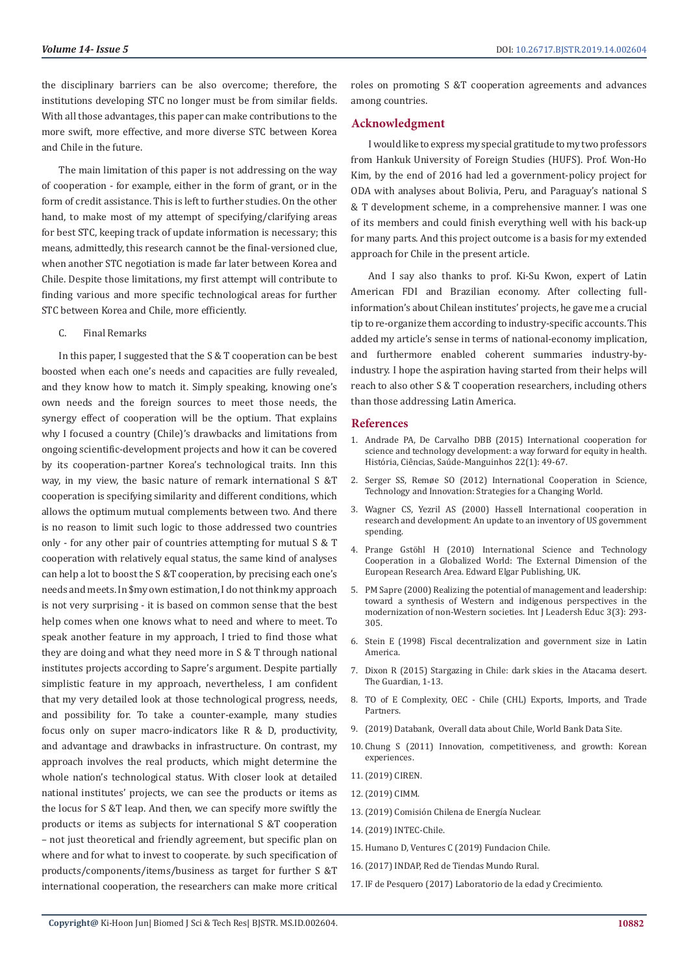the disciplinary barriers can be also overcome; therefore, the institutions developing STC no longer must be from similar fields. With all those advantages, this paper can make contributions to the more swift, more effective, and more diverse STC between Korea and Chile in the future.

The main limitation of this paper is not addressing on the way of cooperation - for example, either in the form of grant, or in the form of credit assistance. This is left to further studies. On the other hand, to make most of my attempt of specifying/clarifying areas for best STC, keeping track of update information is necessary; this means, admittedly, this research cannot be the final-versioned clue, when another STC negotiation is made far later between Korea and Chile. Despite those limitations, my first attempt will contribute to finding various and more specific technological areas for further STC between Korea and Chile, more efficiently.

C. Final Remarks

In this paper, I suggested that the S & T cooperation can be best boosted when each one's needs and capacities are fully revealed, and they know how to match it. Simply speaking, knowing one's own needs and the foreign sources to meet those needs, the synergy effect of cooperation will be the optium. That explains why I focused a country (Chile)'s drawbacks and limitations from ongoing scientific-development projects and how it can be covered by its cooperation-partner Korea's technological traits. Inn this way, in my view, the basic nature of remark international S &T cooperation is specifying similarity and different conditions, which allows the optimum mutual complements between two. And there is no reason to limit such logic to those addressed two countries only - for any other pair of countries attempting for mutual S & T cooperation with relatively equal status, the same kind of analyses can help a lot to boost the S &T cooperation, by precising each one's needs and meets. In \$my own estimation, I do not think my approach is not very surprising - it is based on common sense that the best help comes when one knows what to need and where to meet. To speak another feature in my approach, I tried to find those what they are doing and what they need more in S & T through national institutes projects according to Sapre's argument. Despite partially simplistic feature in my approach, nevertheless, I am confident that my very detailed look at those technological progress, needs, and possibility for. To take a counter-example, many studies focus only on super macro-indicators like R & D, productivity, and advantage and drawbacks in infrastructure. On contrast, my approach involves the real products, which might determine the whole nation's technological status. With closer look at detailed national institutes' projects, we can see the products or items as the locus for S &T leap. And then, we can specify more swiftly the products or items as subjects for international S &T cooperation – not just theoretical and friendly agreement, but specific plan on where and for what to invest to cooperate. by such specification of products/components/items/business as target for further S &T international cooperation, the researchers can make more critical

roles on promoting S &T cooperation agreements and advances among countries.

### **Acknowledgment**

I would like to express my special gratitude to my two professors from Hankuk University of Foreign Studies (HUFS). Prof. Won-Ho Kim, by the end of 2016 had led a government-policy project for ODA with analyses about Bolivia, Peru, and Paraguay's national S & T development scheme, in a comprehensive manner. I was one of its members and could finish everything well with his back-up for many parts. And this project outcome is a basis for my extended approach for Chile in the present article.

And I say also thanks to prof. Ki-Su Kwon, expert of Latin American FDI and Brazilian economy. After collecting fullinformation's about Chilean institutes' projects, he gave me a crucial tip to re-organize them according to industry-specific accounts. This added my article's sense in terms of national-economy implication, and furthermore enabled coherent summaries industry-byindustry. I hope the aspiration having started from their helps will reach to also other S & T cooperation researchers, including others than those addressing Latin America.

#### **References**

- 1. [Andrade PA, De Carvalho DBB \(2015\) International cooperation for](https://www.ncbi.nlm.nih.gov/pubmed/25742099) [science and technology development: a way forward for equity in health.](https://www.ncbi.nlm.nih.gov/pubmed/25742099) [História, Ciências, Saúde-Manguinhos 22\(1\): 49-67.](https://www.ncbi.nlm.nih.gov/pubmed/25742099)
- 2. [Serger SS, Remøe SO \(2012\) International Cooperation in Science,](https://www.researchgate.net/publication/265295518_International_cooperation_in_science_technology_and_innovation_strategies_for_a_changing_world_Report_of_the_Expert_Group_established_to_support_the_further_development_of_an_EU_international_STI_coop) [Technology and Innovation: Strategies for a Changing World.](https://www.researchgate.net/publication/265295518_International_cooperation_in_science_technology_and_innovation_strategies_for_a_changing_world_Report_of_the_Expert_Group_established_to_support_the_further_development_of_an_EU_international_STI_coop)
- 3. [Wagner CS, Yezril AS \(2000\) Hassell International cooperation in](https://www.rand.org/pubs/monograph_reports/MR1248.html) [research and development: An update to an inventory of US government](https://www.rand.org/pubs/monograph_reports/MR1248.html) [spending.](https://www.rand.org/pubs/monograph_reports/MR1248.html)
- 4. [Prange Gstöhl H \(2010\) International Science and Technology](https://www.e-elgar.com/shop/international-science-and-technology-cooperation-in-a-globalized-world) [Cooperation in a Globalized World: The External Dimension of the](https://www.e-elgar.com/shop/international-science-and-technology-cooperation-in-a-globalized-world) [European Research Area. Edward Elgar Publishing, UK.](https://www.e-elgar.com/shop/international-science-and-technology-cooperation-in-a-globalized-world)
- 5. [PM Sapre \(2000\) Realizing the potential of management and leadership:](https://www.tandfonline.com/doi/abs/10.1080/13603120050083954) [toward a synthesis of Western and indigenous perspectives in the](https://www.tandfonline.com/doi/abs/10.1080/13603120050083954) [modernization of non-Western societies. Int J Leadersh Educ 3\(3\): 293-](https://www.tandfonline.com/doi/abs/10.1080/13603120050083954) [305.](https://www.tandfonline.com/doi/abs/10.1080/13603120050083954)
- 6. [Stein E \(1998\) Fiscal decentralization and government size in Latin](https://www.semanticscholar.org/paper/FISCAL-DECENTRALIZATION-AND-GOVERNMENT-SIZE-IN-Stein/dfe90eb2937b86f8a7ffaf28131fcc5042ac4fad) [America.](https://www.semanticscholar.org/paper/FISCAL-DECENTRALIZATION-AND-GOVERNMENT-SIZE-IN-Stein/dfe90eb2937b86f8a7ffaf28131fcc5042ac4fad)
- 7. [Dixon R \(2015\) Stargazing in Chile: dark skies in the Atacama desert.](https://www.theguardian.com/travel/2015/feb/05/stargazing-chile-atacama-desert-dark-skies) [The Guardian, 1-13.](https://www.theguardian.com/travel/2015/feb/05/stargazing-chile-atacama-desert-dark-skies)
- 8. [TO of E Complexity, OEC Chile \(CHL\) Exports, Imports, and Trade](https://atlas.media.mit.edu/en/profile/country/chl/) [Partners.](https://atlas.media.mit.edu/en/profile/country/chl/)
- 9. [\(2019\) Databank, Overall data about Chile, World Bank Data Site.](https://data.worldbank.org/country/chile)
- 10. [Chung S \(2011\) Innovation, competitiveness, and growth: Korean](https://www.rrojasdatabank.info/wbdevecon10-22.pdf) [experiences.](https://www.rrojasdatabank.info/wbdevecon10-22.pdf)
- 11.[\(2019\) CIREN.](https://www.ciren.cl/)
- 12.[\(2019\) CIMM.](http://cimm.cl/)
- 13.[\(2019\) Comisión Chilena de Energía Nuclear.](http://www.cchen.cl/?option=com_docman&task=doc_download&gid=172&Itemid=)
- 14.[\(2019\) INTEC-Chile.](http://repositoriodigital.corfo.cl/handle/11373/1476)
- 15. Humano D, Ventures C (2019) Fundacion Chile.
- 16.[\(2017\) INDAP, Red de Tiendas Mundo Rural.](http://www.indap.gob.cl/Tiendas-Mundo-Rural)
- 17. [IF de Pesquero \(2017\) Laboratorio de la edad y Crecimiento.](https://www.ifop.cl/laboratorioedadycrecimiento/)